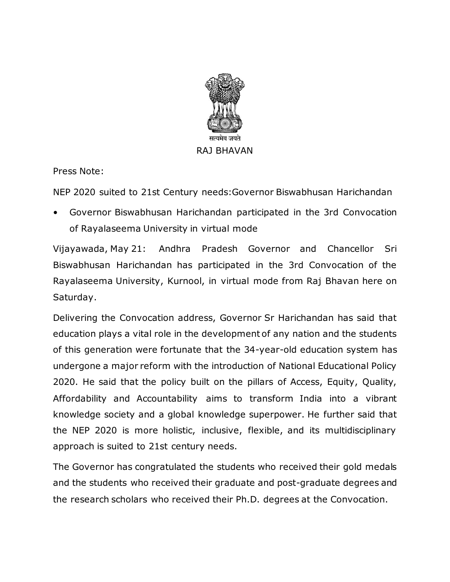

Press Note:

NEP 2020 suited to 21st Century needs:Governor Biswabhusan Harichandan

• Governor Biswabhusan Harichandan participated in the 3rd Convocation of Rayalaseema University in virtual mode

Vijayawada, May 21: Andhra Pradesh Governor and Chancellor Sri Biswabhusan Harichandan has participated in the 3rd Convocation of the Rayalaseema University, Kurnool, in virtual mode from Raj Bhavan here on Saturday.

Delivering the Convocation address, Governor Sr Harichandan has said that education plays a vital role in the development of any nation and the students of this generation were fortunate that the 34-year-old education system has undergone a major reform with the introduction of National Educational Policy 2020. He said that the policy built on the pillars of Access, Equity, Quality, Affordability and Accountability aims to transform India into a vibrant knowledge society and a global knowledge superpower. He further said that the NEP 2020 is more holistic, inclusive, flexible, and its multidisciplinary approach is suited to 21st century needs.

The Governor has congratulated the students who received their gold medals and the students who received their graduate and post-graduate degrees and the research scholars who received their Ph.D. degrees at the Convocation.